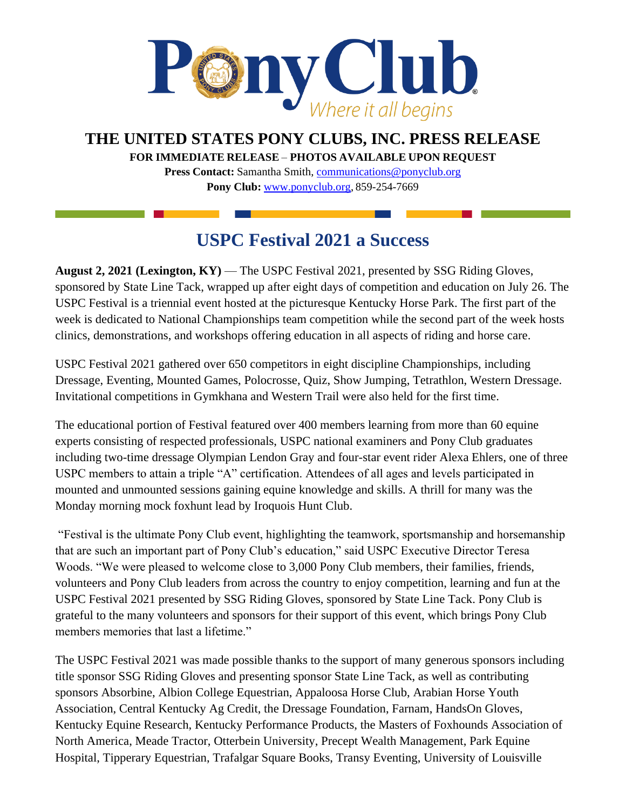

**THE UNITED STATES PONY CLUBS, INC. PRESS RELEASE**

**FOR IMMEDIATE RELEASE** – **PHOTOS AVAILABLE UPON REQUEST** 

**Press Contact:** Samantha Smith, [communications@ponyclub.org](mailto:communications@ponyclub.org) **Pony Club:** [www.ponyclub.org,](http://www.ponyclub.org/) 859-254-7669

## **USPC Festival 2021 a Success**

**August 2, 2021 (Lexington, KY)** — The USPC Festival 2021, presented by SSG Riding Gloves, sponsored by State Line Tack, wrapped up after eight days of competition and education on July 26. The USPC Festival is a triennial event hosted at the picturesque Kentucky Horse Park. The first part of the week is dedicated to National Championships team competition while the second part of the week hosts clinics, demonstrations, and workshops offering education in all aspects of riding and horse care.

USPC Festival 2021 gathered over 650 competitors in eight discipline Championships, including Dressage, Eventing, Mounted Games, Polocrosse, Quiz, Show Jumping, Tetrathlon, Western Dressage. Invitational competitions in Gymkhana and Western Trail were also held for the first time.

The educational portion of Festival featured over 400 members learning from more than 60 equine experts consisting of respected professionals, USPC national examiners and Pony Club graduates including two-time dressage Olympian Lendon Gray and four-star event rider Alexa Ehlers, one of three USPC members to attain a triple "A" certification. Attendees of all ages and levels participated in mounted and unmounted sessions gaining equine knowledge and skills. A thrill for many was the Monday morning mock foxhunt lead by Iroquois Hunt Club.

"Festival is the ultimate Pony Club event, highlighting the teamwork, sportsmanship and horsemanship that are such an important part of Pony Club's education," said USPC Executive Director Teresa Woods. "We were pleased to welcome close to 3,000 Pony Club members, their families, friends, volunteers and Pony Club leaders from across the country to enjoy competition, learning and fun at the USPC Festival 2021 presented by SSG Riding Gloves, sponsored by State Line Tack. Pony Club is grateful to the many volunteers and sponsors for their support of this event, which brings Pony Club members memories that last a lifetime."

The USPC Festival 2021 was made possible thanks to the support of many generous sponsors including title sponsor SSG Riding Gloves and presenting sponsor State Line Tack, as well as contributing sponsors Absorbine, Albion College Equestrian, Appaloosa Horse Club, Arabian Horse Youth Association, Central Kentucky Ag Credit, the Dressage Foundation, Farnam, HandsOn Gloves, Kentucky Equine Research, Kentucky Performance Products, the Masters of Foxhounds Association of North America, Meade Tractor, Otterbein University, Precept Wealth Management, Park Equine Hospital, Tipperary Equestrian, Trafalgar Square Books, Transy Eventing, University of Louisville